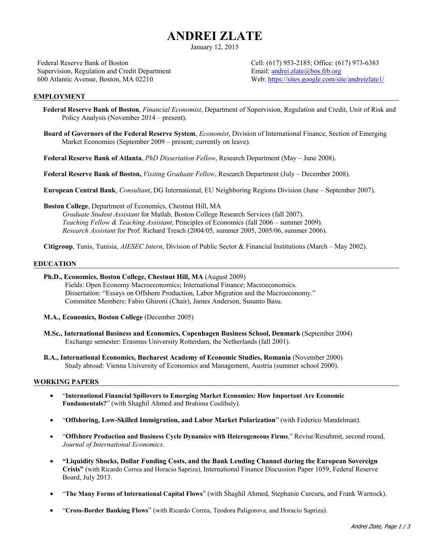# **ANDREI ZLATE**

January 12, 2015

Federal Reserve Bank of Boston Supervision, Regulation and Credit Department 600 Atlantic Avenue, Boston, MA 02210

Cell: (617) 953-2185; Office: (617) 973-6383 Email: andrei.zlate@bos.frb.org Web: https://sites.google.com/site/andreizlate1/

#### **EMPLOYMENT**

- **Federal Reserve Bank of Boston**, *Financial Economist*, Department of Supervision, Regulation and Credit, Unit of Risk and Policy Analysis (November 2014 – present).
- **Board of Governors of the Federal Reserve System**, *Economist*, Division of International Finance, Section of Emerging Market Economies (September 2009 – present; currently on leave).

**Federal Reserve Bank of Atlanta**, *PhD Dissertation Fellow*, Research Department (May – June 2008).

**Federal Reserve Bank of Boston,** *Visiting Graduate Fellow*, Research Department (July – December 2008).

**European Central Bank**, *Consultant*, DG International, EU Neighboring Regions Division (June – September 2007).

**Boston College**, Department of Economics, Chestnut Hill, MA *Graduate Student Assistant* for Matlab, Boston College Research Services (fall 2007). *Teaching Fellow & Teaching Assistant*, Principles of Economics (fall 2006 – summer 2009). *Research Assistant* for Prof. Richard Tresch (2004/05, summer 2005, 2005/06, summer 2006).

**Citigroup**, Tunis, Tunisia, *AIESEC Intern*, Division of Public Sector & Financial Institutions (March – May 2002).

## **EDUCATION**

- **Ph.D., Economics, Boston College, Chestnut Hill, MA** (August 2009) Fields: Open Economy Macroeconomics; International Finance; Macroeconomics. Dissertation: "Essays on Offshore Production, Labor Migration and the Macroeconomy." Committee Members: Fabio Ghironi (Chair), James Anderson, Susanto Basu.
- **M.A., Economics, Boston College** (December 2005)
- **M.Sc., International Business and Economics, Copenhagen Business School, Denmark** (September 2004) Exchange semester: Erasmus University Rotterdam, the Netherlands (fall 2001).
- **B.A., International Economics, Bucharest Academy of Economic Studies, Romania** (November 2000) Study abroad: Vienna University of Economics and Management, Austria (summer school 2000).

#### **WORKING PAPERS**

- "**International Financial Spillovers to Emerging Market Economies: How Important Are Economic Fundamentals?**" (with Shaghil Ahmed and Brahima Coulibaly).
- "**Offshoring, Low-Skilled Immigration, and Labor Market Polarization**" (with Federico Mandelman).
- "**Offshore Production and Business Cycle Dynamics with Heterogeneous Firms**," Revise/Resubmit, second round, *Journal of International Economics.*
- **"Liquidity Shocks, Dollar Funding Costs, and the Bank Lending Channel during the European Sovereign Crisis"** (with Ricardo Correa and Horacio Sapriza), International Finance Discussion Paper 1059, Federal Reserve Board, July 2013.
- "**The Many Forms of International Capital Flows**" (with Shaghil Ahmed, Stephanie Curcuru, and Frank Warnock).
- "**Cross-Border Banking Flows**" (with Ricardo Correa, Teodora Paligorova, and Horacio Sapriza).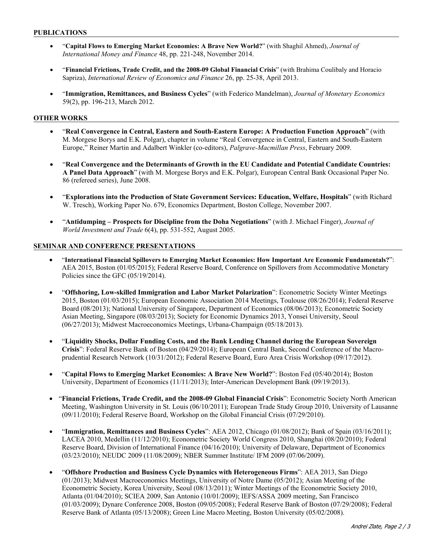- "**Capital Flows to Emerging Market Economies: A Brave New World?**" (with Shaghil Ahmed), *Journal of International Money and Finance* 48, pp. 221-248, November 2014.
- "**Financial Frictions, Trade Credit, and the 2008-09 Global Financial Crisis**" (with Brahima Coulibaly and Horacio Sapriza), *International Review of Economics and Finance* 26, pp. 25-38, April 2013.
- "**Immigration, Remittances, and Business Cycles**" (with Federico Mandelman), *Journal of Monetary Economics*  59(2), pp. 196-213, March 2012.

# **OTHER WORKS**

- "**Real Convergence in Central, Eastern and South-Eastern Europe: A Production Function Approach**" (with M. Morgese Borys and E.K. Polgar), chapter in volume "Real Convergence in Central, Eastern and South-Eastern Europe," Reiner Martin and Adalbert Winkler (co-editors), *Palgrave-Macmillan Press*, February 2009.
- "**Real Convergence and the Determinants of Growth in the EU Candidate and Potential Candidate Countries: A Panel Data Approach**" (with M. Morgese Borys and E.K. Polgar), European Central Bank Occasional Paper No. 86 (refereed series), June 2008.
- "**Explorations into the Production of State Government Services: Education, Welfare, Hospitals**" (with Richard W. Tresch), Working Paper No. 679, Economics Department, Boston College, November 2007.
- "**Antidumping Prospects for Discipline from the Doha Negotiations**" (with J. Michael Finger), *Journal of World Investment and Trade* 6(4), pp. 531-552, August 2005.

## **SEMINAR AND CONFERENCE PRESENTATIONS**

- "**International Financial Spillovers to Emerging Market Economies: How Important Are Economic Fundamentals?**": AEA 2015, Boston (01/05/2015); Federal Reserve Board, Conference on Spillovers from Accommodative Monetary Policies since the GFC (05/19/2014).
- "**Offshoring, Low-skilled Immigration and Labor Market Polarization**": Econometric Society Winter Meetings 2015, Boston (01/03/2015); European Economic Association 2014 Meetings, Toulouse (08/26/2014); Federal Reserve Board (08/2013); National University of Singapore, Department of Economics (08/06/2013); Econometric Society Asian Meeting, Singapore (08/03/2013); Society for Economic Dynamics 2013, Yonsei University, Seoul (06/27/2013); Midwest Macroeconomics Meetings, Urbana-Champaign (05/18/2013).
- "**Liquidity Shocks, Dollar Funding Costs, and the Bank Lending Channel during the European Sovereign Crisis**": Federal Reserve Bank of Boston (04/29/2014); European Central Bank, Second Conference of the Macroprudential Research Network (10/31/2012); Federal Reserve Board, Euro Area Crisis Workshop (09/17/2012).
- "**Capital Flows to Emerging Market Economies: A Brave New World?**": Boston Fed (05/40/2014); Boston University, Department of Economics (11/11/2013); Inter-American Development Bank (09/19/2013).
- "**Financial Frictions, Trade Credit, and the 2008-09 Global Financial Crisis**": Econometric Society North American Meeting, Washington University in St. Louis (06/10/2011); European Trade Study Group 2010, University of Lausanne (09/11/2010); Federal Reserve Board, Workshop on the Global Financial Crisis (07/29/2010).
- "**Immigration, Remittances and Business Cycles**": AEA 2012, Chicago (01/08/2012); Bank of Spain (03/16/2011); LACEA 2010, Medellin (11/12/2010); Econometric Society World Congress 2010, Shanghai (08/20/2010); Federal Reserve Board, Division of International Finance (04/16/2010); University of Delaware, Department of Economics (03/23/2010); NEUDC 2009 (11/08/2009); NBER Summer Institute/ IFM 2009 (07/06/2009).
- "**Offshore Production and Business Cycle Dynamics with Heterogeneous Firms**": AEA 2013, San Diego (01/2013); Midwest Macroeconomics Meetings, University of Notre Dame (05/2012); Asian Meeting of the Econometric Society, Korea University, Seoul (08/13/2011); Winter Meetings of the Econometric Society 2010, Atlanta (01/04/2010); SCIEA 2009, San Antonio (10/01/2009); IEFS/ASSA 2009 meeting, San Francisco (01/03/2009); Dynare Conference 2008, Boston (09/05/2008); Federal Reserve Bank of Boston (07/29/2008); Federal Reserve Bank of Atlanta (05/13/2008); Green Line Macro Meeting, Boston University (05/02/2008).